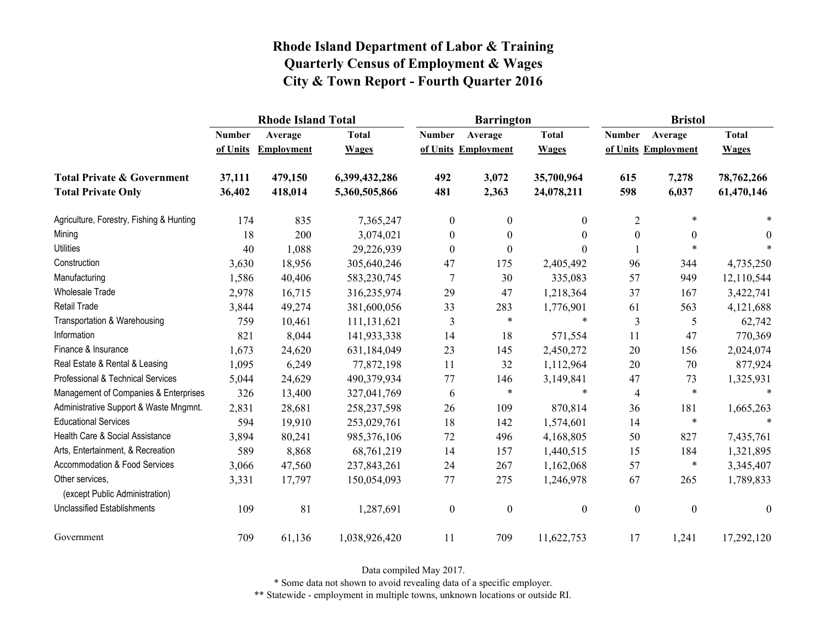|                                                   | <b>Rhode Island Total</b> |                   |               |                  | <b>Barrington</b>   |                  | <b>Bristol</b>   |                     |                  |
|---------------------------------------------------|---------------------------|-------------------|---------------|------------------|---------------------|------------------|------------------|---------------------|------------------|
|                                                   | <b>Number</b>             | Average           | <b>Total</b>  | <b>Number</b>    | Average             | <b>Total</b>     | <b>Number</b>    | Average             | <b>Total</b>     |
|                                                   | of Units                  | <b>Employment</b> | <b>Wages</b>  |                  | of Units Employment | <b>Wages</b>     |                  | of Units Employment | <b>Wages</b>     |
| <b>Total Private &amp; Government</b>             | 37,111                    | 479,150           | 6,399,432,286 | 492              | 3,072               | 35,700,964       | 615              | 7,278               | 78,762,266       |
| <b>Total Private Only</b>                         | 36,402                    | 418,014           | 5,360,505,866 | 481              | 2,363               | 24,078,211       | 598              | 6,037               | 61,470,146       |
| Agriculture, Forestry, Fishing & Hunting          | 174                       | 835               | 7,365,247     | $\boldsymbol{0}$ | $\mathbf{0}$        | $\overline{0}$   | $\overline{2}$   | $\ast$              |                  |
| Mining                                            | 18                        | 200               | 3,074,021     | $\boldsymbol{0}$ | $\boldsymbol{0}$    | $\theta$         | $\boldsymbol{0}$ | $\boldsymbol{0}$    | $\theta$         |
| <b>Utilities</b>                                  | 40                        | 1,088             | 29,226,939    | $\boldsymbol{0}$ | $\mathbf{0}$        | $\Omega$         |                  | $\ast$              |                  |
| Construction                                      | 3,630                     | 18,956            | 305,640,246   | 47               | 175                 | 2,405,492        | 96               | 344                 | 4,735,250        |
| Manufacturing                                     | 1,586                     | 40,406            | 583,230,745   | 7                | 30                  | 335,083          | 57               | 949                 | 12,110,544       |
| <b>Wholesale Trade</b>                            | 2,978                     | 16,715            | 316,235,974   | 29               | 47                  | 1,218,364        | 37               | 167                 | 3,422,741        |
| <b>Retail Trade</b>                               | 3,844                     | 49,274            | 381,600,056   | 33               | 283                 | 1,776,901        | 61               | 563                 | 4,121,688        |
| Transportation & Warehousing                      | 759                       | 10,461            | 111,131,621   | 3                | $\ast$              | $\ast$           | $\mathfrak{Z}$   | 5                   | 62,742           |
| Information                                       | 821                       | 8,044             | 141,933,338   | 14               | 18                  | 571,554          | 11               | 47                  | 770,369          |
| Finance & Insurance                               | 1,673                     | 24,620            | 631,184,049   | 23               | 145                 | 2,450,272        | 20               | 156                 | 2,024,074        |
| Real Estate & Rental & Leasing                    | 1,095                     | 6,249             | 77,872,198    | 11               | 32                  | 1,112,964        | 20               | 70                  | 877,924          |
| Professional & Technical Services                 | 5,044                     | 24,629            | 490,379,934   | 77               | 146                 | 3,149,841        | 47               | 73                  | 1,325,931        |
| Management of Companies & Enterprises             | 326                       | 13,400            | 327,041,769   | 6                | $\ast$              | $\ast$           | $\overline{4}$   | $\ast$              | $\ast$           |
| Administrative Support & Waste Mngmnt.            | 2,831                     | 28,681            | 258, 237, 598 | 26               | 109                 | 870,814          | 36               | 181                 | 1,665,263        |
| <b>Educational Services</b>                       | 594                       | 19,910            | 253,029,761   | 18               | 142                 | 1,574,601        | 14               | $\ast$              | $\ast$           |
| Health Care & Social Assistance                   | 3,894                     | 80,241            | 985,376,106   | 72               | 496                 | 4,168,805        | 50               | 827                 | 7,435,761        |
| Arts, Entertainment, & Recreation                 | 589                       | 8,868             | 68,761,219    | 14               | 157                 | 1,440,515        | 15               | 184                 | 1,321,895        |
| <b>Accommodation &amp; Food Services</b>          | 3,066                     | 47,560            | 237,843,261   | 24               | 267                 | 1,162,068        | 57               | $\ast$              | 3,345,407        |
| Other services,<br>(except Public Administration) | 3,331                     | 17,797            | 150,054,093   | 77               | 275                 | 1,246,978        | 67               | 265                 | 1,789,833        |
| <b>Unclassified Establishments</b>                | 109                       | 81                | 1,287,691     | $\boldsymbol{0}$ | $\boldsymbol{0}$    | $\boldsymbol{0}$ | $\boldsymbol{0}$ | $\boldsymbol{0}$    | $\boldsymbol{0}$ |
| Government                                        | 709                       | 61,136            | 1,038,926,420 | 11               | 709                 | 11,622,753       | 17               | 1,241               | 17,292,120       |

Data compiled May 2017.

\* Some data not shown to avoid revealing data of a specific employer.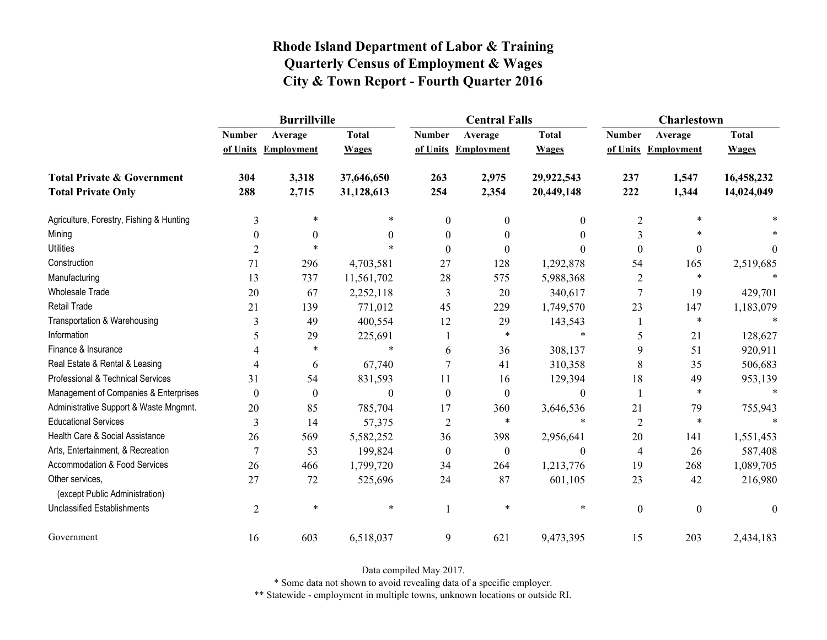|                                                   | <b>Burrillville</b> |                     |              |                  | <b>Central Falls</b> |                  | Charlestown      |                     |              |
|---------------------------------------------------|---------------------|---------------------|--------------|------------------|----------------------|------------------|------------------|---------------------|--------------|
|                                                   | <b>Number</b>       | Average             | <b>Total</b> | <b>Number</b>    | Average              | <b>Total</b>     | <b>Number</b>    | Average             | <b>Total</b> |
|                                                   |                     | of Units Employment | <b>Wages</b> |                  | of Units Employment  | <b>Wages</b>     |                  | of Units Employment | <b>Wages</b> |
| <b>Total Private &amp; Government</b>             | 304                 | 3,318               | 37,646,650   | 263              | 2,975                | 29,922,543       | 237              | 1,547               | 16,458,232   |
| <b>Total Private Only</b>                         | 288                 | 2,715               | 31,128,613   | 254              | 2,354                | 20,449,148       | 222              | 1,344               | 14,024,049   |
| Agriculture, Forestry, Fishing & Hunting          | 3                   | $\ast$              | *            | $\theta$         | $\theta$             | $\mathbf{0}$     | $\overline{2}$   |                     |              |
| Mining                                            | $\theta$            | $\theta$            | $\theta$     | $\theta$         | $\theta$             | $\theta$         | 3                |                     |              |
| <b>Utilities</b>                                  | $\overline{2}$      | $\ast$              | $\ast$       | $\Omega$         | $\theta$             | $\theta$         | $\boldsymbol{0}$ | $\boldsymbol{0}$    | $\theta$     |
| Construction                                      | 71                  | 296                 | 4,703,581    | 27               | 128                  | 1,292,878        | 54               | 165                 | 2,519,685    |
| Manufacturing                                     | 13                  | 737                 | 11,561,702   | 28               | 575                  | 5,988,368        | $\overline{2}$   | $\ast$              |              |
| <b>Wholesale Trade</b>                            | 20                  | 67                  | 2,252,118    | 3                | 20                   | 340,617          | $\boldsymbol{7}$ | 19                  | 429,701      |
| Retail Trade                                      | 21                  | 139                 | 771,012      | 45               | 229                  | 1,749,570        | 23               | 147                 | 1,183,079    |
| Transportation & Warehousing                      | 3                   | 49                  | 400,554      | 12               | 29                   | 143,543          |                  | $\ast$              | $\ast$       |
| Information                                       | 5                   | 29                  | 225,691      |                  | *                    | $\ast$           | 5                | 21                  | 128,627      |
| Finance & Insurance                               | 4                   | $\ast$              | $\ast$       | 6                | 36                   | 308,137          | 9                | 51                  | 920,911      |
| Real Estate & Rental & Leasing                    | 4                   | 6                   | 67,740       |                  | 41                   | 310,358          | 8                | 35                  | 506,683      |
| Professional & Technical Services                 | 31                  | 54                  | 831,593      | 11               | 16                   | 129,394          | 18               | 49                  | 953,139      |
| Management of Companies & Enterprises             | $\boldsymbol{0}$    | $\boldsymbol{0}$    | $\theta$     | $\theta$         | $\boldsymbol{0}$     | $\theta$         |                  | $\ast$              | $\ast$       |
| Administrative Support & Waste Mngmnt.            | 20                  | 85                  | 785,704      | 17               | 360                  | 3,646,536        | 21               | 79                  | 755,943      |
| <b>Educational Services</b>                       | 3                   | 14                  | 57,375       | $\overline{2}$   | $\ast$               | $\ast$           | $\overline{2}$   | $\ast$              |              |
| Health Care & Social Assistance                   | 26                  | 569                 | 5,582,252    | 36               | 398                  | 2,956,641        | 20               | 141                 | 1,551,453    |
| Arts, Entertainment, & Recreation                 | $\overline{7}$      | 53                  | 199,824      | $\boldsymbol{0}$ | $\mathbf{0}$         | $\boldsymbol{0}$ | $\overline{4}$   | 26                  | 587,408      |
| Accommodation & Food Services                     | 26                  | 466                 | 1,799,720    | 34               | 264                  | 1,213,776        | 19               | 268                 | 1,089,705    |
| Other services,<br>(except Public Administration) | 27                  | 72                  | 525,696      | 24               | 87                   | 601,105          | 23               | 42                  | 216,980      |
| <b>Unclassified Establishments</b>                | $\overline{2}$      | $\ast$              | $\ast$       |                  | $\ast$               | $\ast$           | $\boldsymbol{0}$ | $\boldsymbol{0}$    | $\mathbf{0}$ |
| Government                                        | 16                  | 603                 | 6,518,037    | 9                | 621                  | 9,473,395        | 15               | 203                 | 2,434,183    |

Data compiled May 2017.

\* Some data not shown to avoid revealing data of a specific employer.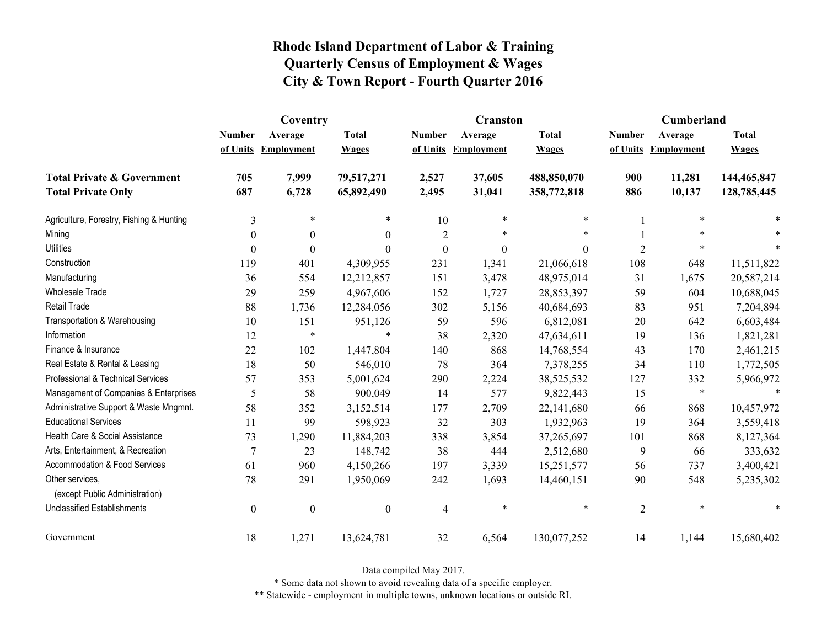|                                                   | Coventry         |                     |                  |                  | <b>Cranston</b>     |              | <b>Cumberland</b> |                     |              |
|---------------------------------------------------|------------------|---------------------|------------------|------------------|---------------------|--------------|-------------------|---------------------|--------------|
|                                                   | <b>Number</b>    | Average             | <b>Total</b>     | <b>Number</b>    | Average             | <b>Total</b> | <b>Number</b>     | Average             | <b>Total</b> |
|                                                   |                  | of Units Employment | <b>Wages</b>     |                  | of Units Employment | <b>Wages</b> |                   | of Units Employment | <b>Wages</b> |
| <b>Total Private &amp; Government</b>             | 705              | 7,999               | 79,517,271       | 2,527            | 37,605              | 488,850,070  | 900               | 11,281              | 144,465,847  |
| <b>Total Private Only</b>                         | 687              | 6,728               | 65,892,490       | 2,495            | 31,041              | 358,772,818  | 886               | 10,137              | 128,785,445  |
| Agriculture, Forestry, Fishing & Hunting          | 3                | $\ast$              | $\ast$           | 10               | $\ast$              | $\ast$       |                   | $\ast$              |              |
| Mining                                            | $\theta$         | $\theta$            | $\theta$         | $\overline{2}$   | *                   | $\ast$       |                   | $\ast$              |              |
| <b>Utilities</b>                                  | $\boldsymbol{0}$ | $\theta$            | $\theta$         | $\boldsymbol{0}$ | $\boldsymbol{0}$    | $\theta$     | $\overline{2}$    | $\ast$              |              |
| Construction                                      | 119              | 401                 | 4,309,955        | 231              | 1,341               | 21,066,618   | 108               | 648                 | 11,511,822   |
| Manufacturing                                     | 36               | 554                 | 12,212,857       | 151              | 3,478               | 48,975,014   | 31                | 1,675               | 20,587,214   |
| Wholesale Trade                                   | 29               | 259                 | 4,967,606        | 152              | 1,727               | 28,853,397   | 59                | 604                 | 10,688,045   |
| <b>Retail Trade</b>                               | 88               | 1,736               | 12,284,056       | 302              | 5,156               | 40,684,693   | 83                | 951                 | 7,204,894    |
| Transportation & Warehousing                      | 10               | 151                 | 951,126          | 59               | 596                 | 6,812,081    | 20                | 642                 | 6,603,484    |
| Information                                       | 12               | $\ast$              | $\ast$           | 38               | 2,320               | 47,634,611   | 19                | 136                 | 1,821,281    |
| Finance & Insurance                               | 22               | 102                 | 1,447,804        | 140              | 868                 | 14,768,554   | 43                | 170                 | 2,461,215    |
| Real Estate & Rental & Leasing                    | 18               | 50                  | 546,010          | 78               | 364                 | 7,378,255    | 34                | 110                 | 1,772,505    |
| Professional & Technical Services                 | 57               | 353                 | 5,001,624        | 290              | 2,224               | 38,525,532   | 127               | 332                 | 5,966,972    |
| Management of Companies & Enterprises             | 5                | 58                  | 900,049          | 14               | 577                 | 9,822,443    | 15                | $\ast$              | $\ast$       |
| Administrative Support & Waste Mngmnt.            | 58               | 352                 | 3,152,514        | 177              | 2,709               | 22,141,680   | 66                | 868                 | 10,457,972   |
| <b>Educational Services</b>                       | 11               | 99                  | 598,923          | 32               | 303                 | 1,932,963    | 19                | 364                 | 3,559,418    |
| Health Care & Social Assistance                   | 73               | 1,290               | 11,884,203       | 338              | 3,854               | 37,265,697   | 101               | 868                 | 8,127,364    |
| Arts, Entertainment, & Recreation                 | 7                | 23                  | 148,742          | 38               | 444                 | 2,512,680    | 9                 | 66                  | 333,632      |
| <b>Accommodation &amp; Food Services</b>          | 61               | 960                 | 4,150,266        | 197              | 3,339               | 15,251,577   | 56                | 737                 | 3,400,421    |
| Other services,<br>(except Public Administration) | 78               | 291                 | 1,950,069        | 242              | 1,693               | 14,460,151   | 90                | 548                 | 5,235,302    |
| <b>Unclassified Establishments</b>                | $\boldsymbol{0}$ | $\boldsymbol{0}$    | $\boldsymbol{0}$ | $\overline{4}$   | $\ast$              | $\ast$       | $\overline{2}$    | $\ast$              | *            |
| Government                                        | 18               | 1,271               | 13,624,781       | 32               | 6,564               | 130,077,252  | 14                | 1,144               | 15,680,402   |

Data compiled May 2017.

\* Some data not shown to avoid revealing data of a specific employer.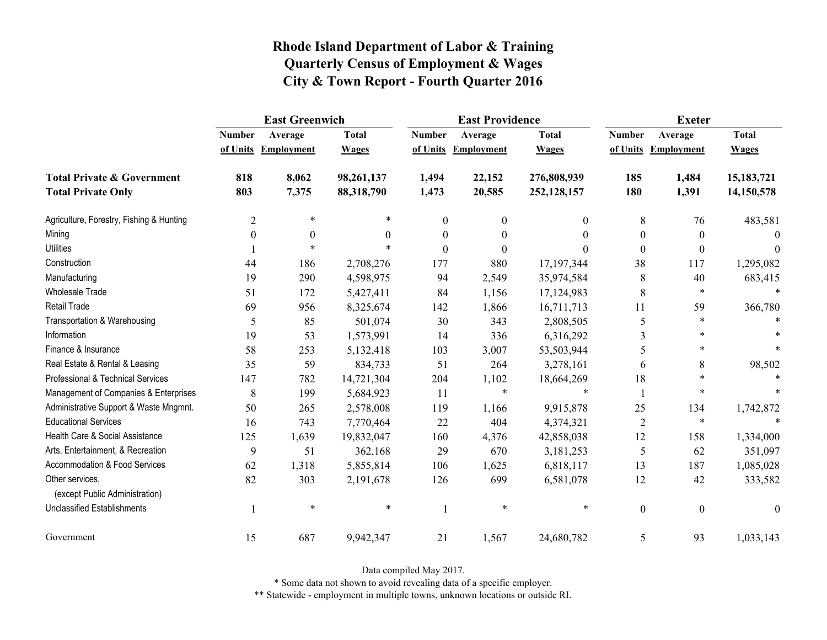|                                                   | <b>East Greenwich</b> |                     |              |                  | <b>East Providence</b> |               | <b>Exeter</b>    |                     |              |
|---------------------------------------------------|-----------------------|---------------------|--------------|------------------|------------------------|---------------|------------------|---------------------|--------------|
|                                                   | <b>Number</b>         | Average             | <b>Total</b> | <b>Number</b>    | Average                | <b>Total</b>  | <b>Number</b>    | Average             | <b>Total</b> |
|                                                   |                       | of Units Employment | <b>Wages</b> |                  | of Units Employment    | <b>Wages</b>  |                  | of Units Employment | <b>Wages</b> |
| <b>Total Private &amp; Government</b>             | 818                   | 8,062               | 98,261,137   | 1,494            | 22,152                 | 276,808,939   | 185              | 1,484               | 15,183,721   |
| <b>Total Private Only</b>                         | 803                   | 7,375               | 88,318,790   | 1,473            | 20,585                 | 252, 128, 157 | 180              | 1,391               | 14,150,578   |
| Agriculture, Forestry, Fishing & Hunting          | $\overline{2}$        | $\ast$              |              | $\boldsymbol{0}$ | $\mathbf{0}$           | $\mathbf{0}$  | 8                | 76                  | 483,581      |
| Mining                                            | $\boldsymbol{0}$      | $\boldsymbol{0}$    | 0            | $\boldsymbol{0}$ | $\boldsymbol{0}$       | $\theta$      | $\boldsymbol{0}$ | $\boldsymbol{0}$    | $\Omega$     |
| <b>Utilities</b>                                  |                       | $\ast$              |              | $\theta$         | $\theta$               | $\Omega$      | $\mathbf{0}$     | $\boldsymbol{0}$    | $\Omega$     |
| Construction                                      | 44                    | 186                 | 2,708,276    | 177              | 880                    | 17,197,344    | 38               | 117                 | 1,295,082    |
| Manufacturing                                     | 19                    | 290                 | 4,598,975    | 94               | 2,549                  | 35,974,584    | 8                | 40                  | 683,415      |
| Wholesale Trade                                   | 51                    | 172                 | 5,427,411    | 84               | 1,156                  | 17,124,983    | 8                | $\ast$              |              |
| Retail Trade                                      | 69                    | 956                 | 8,325,674    | 142              | 1,866                  | 16,711,713    | 11               | 59                  | 366,780      |
| Transportation & Warehousing                      | 5                     | 85                  | 501,074      | 30               | 343                    | 2,808,505     | 5                | $\ast$              |              |
| Information                                       | 19                    | 53                  | 1,573,991    | 14               | 336                    | 6,316,292     | 3                | *                   |              |
| Finance & Insurance                               | 58                    | 253                 | 5,132,418    | 103              | 3,007                  | 53,503,944    | 5                | *                   |              |
| Real Estate & Rental & Leasing                    | 35                    | 59                  | 834,733      | 51               | 264                    | 3,278,161     | 6                | 8                   | 98,502       |
| Professional & Technical Services                 | 147                   | 782                 | 14,721,304   | 204              | 1,102                  | 18,664,269    | 18               | $\ast$              |              |
| Management of Companies & Enterprises             | 8                     | 199                 | 5,684,923    | 11               | $\ast$                 | $\ast$        |                  | $\ast$              |              |
| Administrative Support & Waste Mngmnt.            | 50                    | 265                 | 2,578,008    | 119              | 1,166                  | 9,915,878     | 25               | 134                 | 1,742,872    |
| <b>Educational Services</b>                       | 16                    | 743                 | 7,770,464    | 22               | 404                    | 4,374,321     | $\overline{2}$   | $\ast$              |              |
| Health Care & Social Assistance                   | 125                   | 1,639               | 19,832,047   | 160              | 4,376                  | 42,858,038    | 12               | 158                 | 1,334,000    |
| Arts, Entertainment, & Recreation                 | 9                     | 51                  | 362,168      | 29               | 670                    | 3,181,253     | $\mathfrak{S}$   | 62                  | 351,097      |
| <b>Accommodation &amp; Food Services</b>          | 62                    | 1,318               | 5,855,814    | 106              | 1,625                  | 6,818,117     | 13               | 187                 | 1,085,028    |
| Other services,<br>(except Public Administration) | 82                    | 303                 | 2,191,678    | 126              | 699                    | 6,581,078     | 12               | 42                  | 333,582      |
| <b>Unclassified Establishments</b>                |                       | $\ast$              | $\ast$       | $\mathbf{1}$     | $\ast$                 | $\ast$        | $\boldsymbol{0}$ | $\boldsymbol{0}$    | $\theta$     |
| Government                                        | 15                    | 687                 | 9,942,347    | 21               | 1,567                  | 24,680,782    | 5                | 93                  | 1,033,143    |

Data compiled May 2017.

\* Some data not shown to avoid revealing data of a specific employer.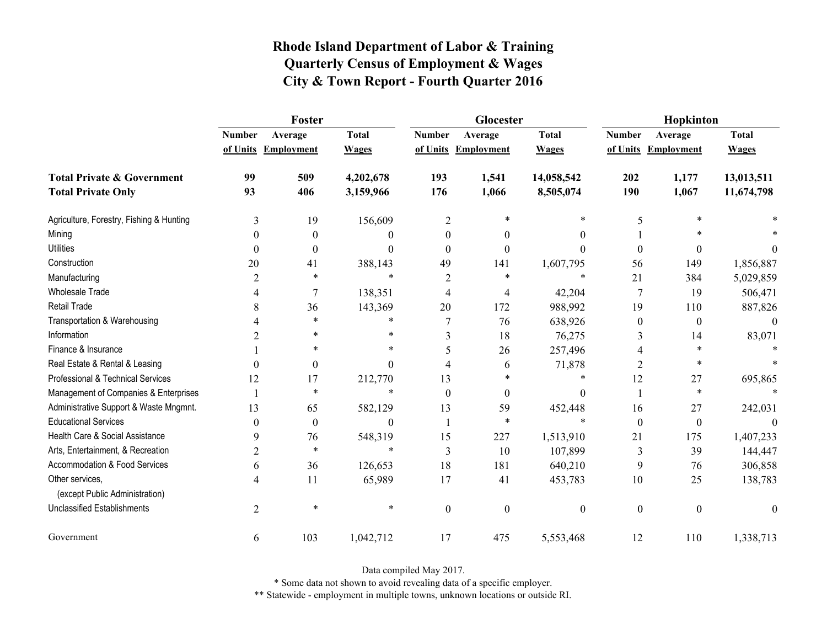|                                                   | Foster           |                     |              |                | Glocester           |                  | Hopkinton        |                     |              |
|---------------------------------------------------|------------------|---------------------|--------------|----------------|---------------------|------------------|------------------|---------------------|--------------|
|                                                   | <b>Number</b>    | Average             | <b>Total</b> | <b>Number</b>  | Average             | <b>Total</b>     | <b>Number</b>    | Average             | <b>Total</b> |
|                                                   |                  | of Units Employment | <b>Wages</b> |                | of Units Employment | <b>Wages</b>     |                  | of Units Employment | <b>Wages</b> |
| <b>Total Private &amp; Government</b>             | 99               | 509                 | 4,202,678    | 193            | 1,541               | 14,058,542       | 202              | 1,177               | 13,013,511   |
| <b>Total Private Only</b>                         | 93               | 406                 | 3,159,966    | 176            | 1,066               | 8,505,074        | 190              | 1,067               | 11,674,798   |
| Agriculture, Forestry, Fishing & Hunting          | 3                | 19                  | 156,609      | $\overline{2}$ | $\ast$              | *                | 5                | $\ast$              |              |
| Mining                                            | $\theta$         | $\boldsymbol{0}$    | 0            | $\theta$       | $\theta$            | $\theta$         |                  |                     |              |
| <b>Utilities</b>                                  | $\boldsymbol{0}$ | $\boldsymbol{0}$    | $\theta$     | $\theta$       | $\boldsymbol{0}$    | $\theta$         | $\boldsymbol{0}$ | 0                   | $\theta$     |
| Construction                                      | 20               | 41                  | 388,143      | 49             | 141                 | 1,607,795        | 56               | 149                 | 1,856,887    |
| Manufacturing                                     | $\overline{2}$   | *                   | $\ast$       | 2              | *                   | $\ast$           | 21               | 384                 | 5,029,859    |
| Wholesale Trade                                   | 4                | $\overline{7}$      | 138,351      | 4              | 4                   | 42,204           | $\boldsymbol{7}$ | 19                  | 506,471      |
| <b>Retail Trade</b>                               | 8                | 36                  | 143,369      | 20             | 172                 | 988,992          | 19               | 110                 | 887,826      |
| Transportation & Warehousing                      |                  | $\ast$              | *            | 7              | 76                  | 638,926          | $\boldsymbol{0}$ | $\boldsymbol{0}$    | $\theta$     |
| Information                                       | $\overline{2}$   | $\ast$              | $\ast$       | 3              | 18                  | 76,275           | 3                | 14                  | 83,071       |
| Finance & Insurance                               |                  | $\ast$              | *            | 5              | 26                  | 257,496          | 4                | $\ast$              |              |
| Real Estate & Rental & Leasing                    | $\theta$         | $\boldsymbol{0}$    | $\Omega$     | 4              | 6                   | 71,878           | $\overline{2}$   | $\ast$              |              |
| Professional & Technical Services                 | 12               | 17                  | 212,770      | 13             | $\ast$              | *                | 12               | $27\,$              | 695,865      |
| Management of Companies & Enterprises             | $\mathbf{1}$     | *                   | $\ast$       | $\Omega$       | $\theta$            | $\mathbf{0}$     | 1                | $\ast$              |              |
| Administrative Support & Waste Mngmnt.            | 13               | 65                  | 582,129      | 13             | 59                  | 452,448          | 16               | 27                  | 242,031      |
| <b>Educational Services</b>                       | $\theta$         | $\boldsymbol{0}$    | $\Omega$     |                | *                   | *                | $\boldsymbol{0}$ | $\boldsymbol{0}$    |              |
| Health Care & Social Assistance                   | 9                | 76                  | 548,319      | 15             | 227                 | 1,513,910        | 21               | 175                 | 1,407,233    |
| Arts, Entertainment, & Recreation                 | $\overline{c}$   | $\ast$              | $\ast$       | 3              | 10                  | 107,899          | $\mathfrak{Z}$   | 39                  | 144,447      |
| Accommodation & Food Services                     | 6                | 36                  | 126,653      | 18             | 181                 | 640,210          | 9                | 76                  | 306,858      |
| Other services,<br>(except Public Administration) | 4                | 11                  | 65,989       | 17             | 41                  | 453,783          | 10               | 25                  | 138,783      |
| <b>Unclassified Establishments</b>                | $\overline{2}$   | $\ast$              | $\ast$       | $\mathbf{0}$   | $\boldsymbol{0}$    | $\boldsymbol{0}$ | $\boldsymbol{0}$ | $\boldsymbol{0}$    | $\mathbf{0}$ |
| Government                                        | 6                | 103                 | 1,042,712    | 17             | 475                 | 5,553,468        | 12               | 110                 | 1,338,713    |

Data compiled May 2017.

\* Some data not shown to avoid revealing data of a specific employer.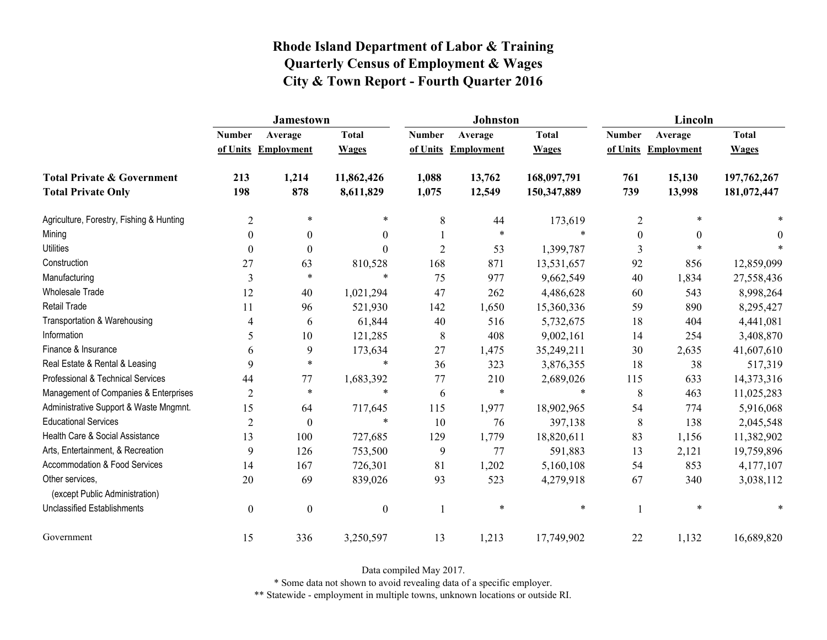|                                                   | Jamestown      |                     |                  |                | <b>Johnston</b>   |              | Lincoln       |                     |              |
|---------------------------------------------------|----------------|---------------------|------------------|----------------|-------------------|--------------|---------------|---------------------|--------------|
|                                                   | <b>Number</b>  | Average             | <b>Total</b>     | <b>Number</b>  | Average           | <b>Total</b> | <b>Number</b> | Average             | <b>Total</b> |
|                                                   |                | of Units Employment | <b>Wages</b>     | of Units       | <b>Employment</b> | <b>Wages</b> |               | of Units Employment | <b>Wages</b> |
| <b>Total Private &amp; Government</b>             | 213            | 1,214               | 11,862,426       | 1,088          | 13,762            | 168,097,791  | 761           | 15,130              | 197,762,267  |
| <b>Total Private Only</b>                         | 198            | 878                 | 8,611,829        | 1,075          | 12,549            | 150,347,889  | 739           | 13,998              | 181,072,447  |
| Agriculture, Forestry, Fishing & Hunting          | $\overline{2}$ | $\ast$              | $\ast$           | $\,8\,$        | 44                | 173,619      | $\sqrt{2}$    | $\ast$              |              |
| Mining                                            | $\Omega$       | $\mathbf{0}$        | $\mathbf{0}$     |                | $\ast$            | $\ast$       | $\mathbf{0}$  | $\theta$            | 0            |
| <b>Utilities</b>                                  | $\theta$       | $\theta$            | $\boldsymbol{0}$ | $\overline{2}$ | 53                | 1,399,787    | 3             | $\ast$              |              |
| Construction                                      | 27             | 63                  | 810,528          | 168            | 871               | 13,531,657   | 92            | 856                 | 12,859,099   |
| Manufacturing                                     | 3              | $\ast$              | $\ast$           | 75             | 977               | 9,662,549    | 40            | 1,834               | 27,558,436   |
| Wholesale Trade                                   | 12             | 40                  | 1,021,294        | 47             | 262               | 4,486,628    | 60            | 543                 | 8,998,264    |
| <b>Retail Trade</b>                               | 11             | 96                  | 521,930          | 142            | 1,650             | 15,360,336   | 59            | 890                 | 8,295,427    |
| Transportation & Warehousing                      | 4              | 6                   | 61,844           | 40             | 516               | 5,732,675    | 18            | 404                 | 4,441,081    |
| Information                                       | 5              | $10\,$              | 121,285          | $\,8\,$        | 408               | 9,002,161    | 14            | 254                 | 3,408,870    |
| Finance & Insurance                               | 6              | 9                   | 173,634          | 27             | 1,475             | 35,249,211   | 30            | 2,635               | 41,607,610   |
| Real Estate & Rental & Leasing                    | 9              | $\ast$              | $\ast$           | 36             | 323               | 3,876,355    | 18            | 38                  | 517,319      |
| Professional & Technical Services                 | 44             | 77                  | 1,683,392        | 77             | 210               | 2,689,026    | 115           | 633                 | 14,373,316   |
| Management of Companies & Enterprises             | $\overline{2}$ | $\ast$              | $\ast$           | 6              | $\ast$            | $\ast$       | 8             | 463                 | 11,025,283   |
| Administrative Support & Waste Mngmnt.            | 15             | 64                  | 717,645          | 115            | 1,977             | 18,902,965   | 54            | 774                 | 5,916,068    |
| <b>Educational Services</b>                       | 2              | $\theta$            | $\ast$           | 10             | 76                | 397,138      | 8             | 138                 | 2,045,548    |
| Health Care & Social Assistance                   | 13             | 100                 | 727,685          | 129            | 1,779             | 18,820,611   | 83            | 1,156               | 11,382,902   |
| Arts, Entertainment, & Recreation                 | 9              | 126                 | 753,500          | 9              | 77                | 591,883      | 13            | 2,121               | 19,759,896   |
| Accommodation & Food Services                     | 14             | 167                 | 726,301          | 81             | 1,202             | 5,160,108    | 54            | 853                 | 4,177,107    |
| Other services,<br>(except Public Administration) | 20             | 69                  | 839,026          | 93             | 523               | 4,279,918    | 67            | 340                 | 3,038,112    |
| <b>Unclassified Establishments</b>                | $\mathbf{0}$   | $\boldsymbol{0}$    | $\boldsymbol{0}$ |                | $\ast$            | $\ast$       |               | $\ast$              |              |
| Government                                        | 15             | 336                 | 3,250,597        | 13             | 1,213             | 17,749,902   | 22            | 1,132               | 16,689,820   |

Data compiled May 2017.

\* Some data not shown to avoid revealing data of a specific employer.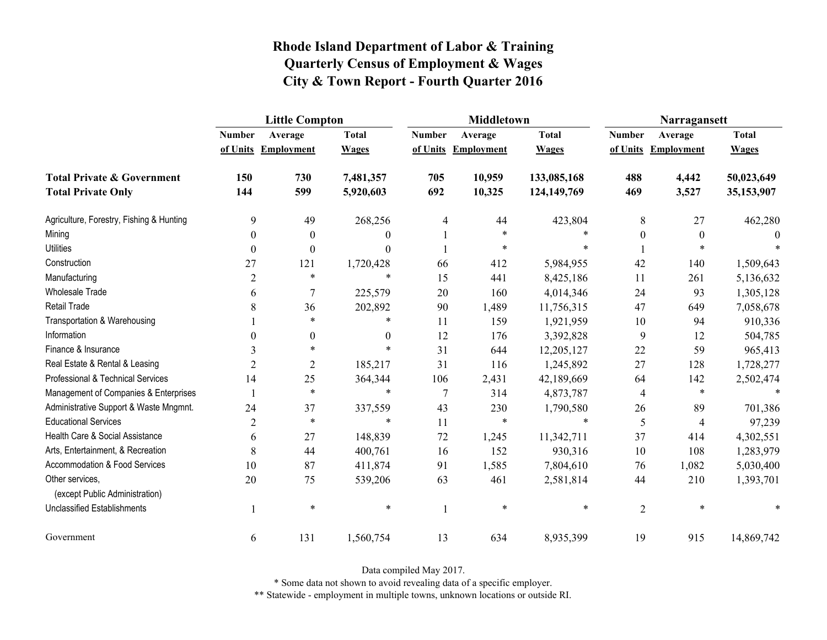|                                                   | <b>Little Compton</b> |                     |              |                | <b>Middletown</b>   |              | Narragansett     |                   |              |
|---------------------------------------------------|-----------------------|---------------------|--------------|----------------|---------------------|--------------|------------------|-------------------|--------------|
|                                                   | <b>Number</b>         | Average             | <b>Total</b> | <b>Number</b>  | Average             | <b>Total</b> | <b>Number</b>    | Average           | <b>Total</b> |
|                                                   |                       | of Units Employment | <b>Wages</b> |                | of Units Employment | <b>Wages</b> | of Units         | <b>Employment</b> | <b>Wages</b> |
| <b>Total Private &amp; Government</b>             | 150                   | 730                 | 7,481,357    | 705            | 10,959              | 133,085,168  | 488              | 4,442             | 50,023,649   |
| <b>Total Private Only</b>                         | 144                   | 599                 | 5,920,603    | 692            | 10,325              | 124,149,769  | 469              | 3,527             | 35,153,907   |
| Agriculture, Forestry, Fishing & Hunting          | 9                     | 49                  | 268,256      | 4              | 44                  | 423,804      | 8                | 27                | 462,280      |
| Mining                                            | $\boldsymbol{0}$      | $\boldsymbol{0}$    | $\theta$     |                | $\ast$              |              | $\boldsymbol{0}$ | $\boldsymbol{0}$  | $\theta$     |
| <b>Utilities</b>                                  | $\theta$              | $\theta$            | $\Omega$     |                | $\ast$              |              |                  |                   |              |
| Construction                                      | 27                    | 121                 | 1,720,428    | 66             | 412                 | 5,984,955    | 42               | 140               | 1,509,643    |
| Manufacturing                                     | $\overline{2}$        | $\ast$              | $\ast$       | 15             | 441                 | 8,425,186    | 11               | 261               | 5,136,632    |
| <b>Wholesale Trade</b>                            | 6                     | 7                   | 225,579      | 20             | 160                 | 4,014,346    | 24               | 93                | 1,305,128    |
| <b>Retail Trade</b>                               | 8                     | 36                  | 202,892      | 90             | 1,489               | 11,756,315   | 47               | 649               | 7,058,678    |
| Transportation & Warehousing                      |                       | $\ast$              | $\ast$       | 11             | 159                 | 1,921,959    | $10\,$           | 94                | 910,336      |
| Information                                       | 0                     | $\boldsymbol{0}$    | $\theta$     | 12             | 176                 | 3,392,828    | 9                | 12                | 504,785      |
| Finance & Insurance                               | 3                     | $\ast$              | $\ast$       | 31             | 644                 | 12,205,127   | 22               | 59                | 965,413      |
| Real Estate & Rental & Leasing                    | $\overline{2}$        | $\overline{c}$      | 185,217      | 31             | 116                 | 1,245,892    | 27               | 128               | 1,728,277    |
| Professional & Technical Services                 | 14                    | 25                  | 364,344      | 106            | 2,431               | 42,189,669   | 64               | 142               | 2,502,474    |
| Management of Companies & Enterprises             |                       | $\ast$              | $\ast$       | $\overline{7}$ | 314                 | 4,873,787    | 4                | $\ast$            |              |
| Administrative Support & Waste Mngmnt.            | 24                    | 37                  | 337,559      | 43             | 230                 | 1,790,580    | 26               | 89                | 701,386      |
| <b>Educational Services</b>                       | $\overline{2}$        | $\ast$              | $\ast$       | 11             | $\ast$              | $\ast$       | 5                | 4                 | 97,239       |
| Health Care & Social Assistance                   | 6                     | 27                  | 148,839      | 72             | 1,245               | 11,342,711   | 37               | 414               | 4,302,551    |
| Arts, Entertainment, & Recreation                 | 8                     | 44                  | 400,761      | 16             | 152                 | 930,316      | 10               | 108               | 1,283,979    |
| <b>Accommodation &amp; Food Services</b>          | 10                    | 87                  | 411,874      | 91             | 1,585               | 7,804,610    | 76               | 1,082             | 5,030,400    |
| Other services,<br>(except Public Administration) | 20                    | 75                  | 539,206      | 63             | 461                 | 2,581,814    | 44               | 210               | 1,393,701    |
| <b>Unclassified Establishments</b>                |                       | $\ast$              | $\ast$       |                | $\ast$              | $\ast$       | $\overline{2}$   | $\ast$            |              |
| Government                                        | 6                     | 131                 | 1,560,754    | 13             | 634                 | 8,935,399    | 19               | 915               | 14,869,742   |

Data compiled May 2017.

\* Some data not shown to avoid revealing data of a specific employer.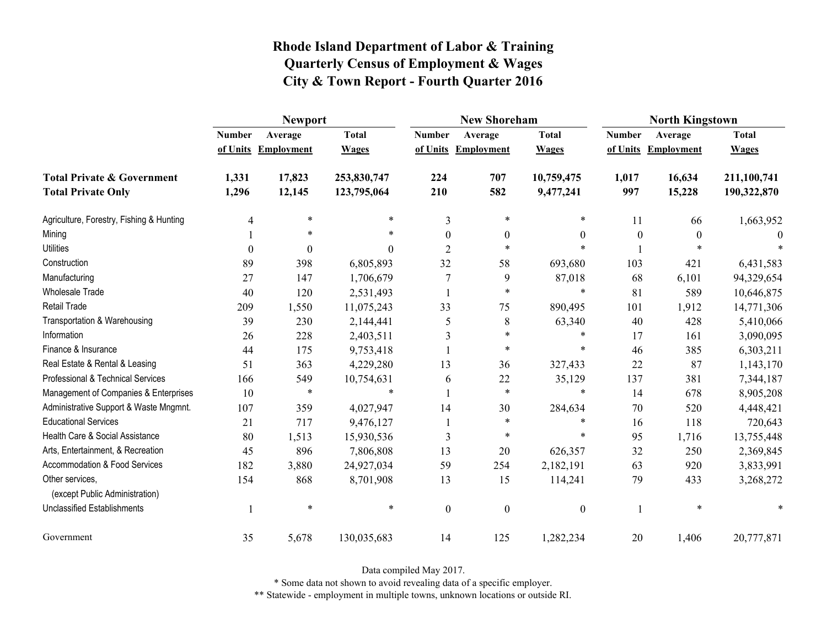|                                                   | <b>Newport</b> |                     |              |                  | <b>New Shoreham</b> |                  | <b>North Kingstown</b> |                     |              |  |
|---------------------------------------------------|----------------|---------------------|--------------|------------------|---------------------|------------------|------------------------|---------------------|--------------|--|
|                                                   | <b>Number</b>  | Average             | <b>Total</b> | <b>Number</b>    | Average             | <b>Total</b>     | <b>Number</b>          | Average             | <b>Total</b> |  |
|                                                   |                | of Units Employment | <b>Wages</b> |                  | of Units Employment | <b>Wages</b>     |                        | of Units Employment | <b>Wages</b> |  |
| <b>Total Private &amp; Government</b>             | 1,331          | 17,823              | 253,830,747  | 224              | 707                 | 10,759,475       | 1,017                  | 16,634              | 211,100,741  |  |
| <b>Total Private Only</b>                         | 1,296          | 12,145              | 123,795,064  | 210              | 582                 | 9,477,241        | 997                    | 15,228              | 190,322,870  |  |
| Agriculture, Forestry, Fishing & Hunting          | 4              | $\ast$              | $\ast$       | 3                | $\ast$              | *                | 11                     | 66                  | 1,663,952    |  |
| Mining                                            |                | $\ast$              | $\ast$       | $\boldsymbol{0}$ | $\boldsymbol{0}$    | $\theta$         | $\boldsymbol{0}$       | $\boldsymbol{0}$    | $\Omega$     |  |
| <b>Utilities</b>                                  | $\theta$       | $\Omega$            | 0            | $\overline{2}$   | $\ast$              |                  |                        |                     |              |  |
| Construction                                      | 89             | 398                 | 6,805,893    | 32               | 58                  | 693,680          | 103                    | 421                 | 6,431,583    |  |
| Manufacturing                                     | 27             | 147                 | 1,706,679    | 7                | 9                   | 87,018           | 68                     | 6,101               | 94,329,654   |  |
| <b>Wholesale Trade</b>                            | 40             | 120                 | 2,531,493    |                  | $\ast$              | $\ast$           | 81                     | 589                 | 10,646,875   |  |
| Retail Trade                                      | 209            | 1,550               | 11,075,243   | 33               | 75                  | 890,495          | 101                    | 1,912               | 14,771,306   |  |
| Transportation & Warehousing                      | 39             | 230                 | 2,144,441    | 5                | $\,$ 8 $\,$         | 63,340           | 40                     | 428                 | 5,410,066    |  |
| Information                                       | 26             | 228                 | 2,403,511    | 3                | $\ast$              | $\ast$           | 17                     | 161                 | 3,090,095    |  |
| Finance & Insurance                               | 44             | 175                 | 9,753,418    |                  | $\ast$              | $\ast$           | 46                     | 385                 | 6,303,211    |  |
| Real Estate & Rental & Leasing                    | 51             | 363                 | 4,229,280    | 13               | 36                  | 327,433          | 22                     | 87                  | 1,143,170    |  |
| Professional & Technical Services                 | 166            | 549                 | 10,754,631   | 6                | 22                  | 35,129           | 137                    | 381                 | 7,344,187    |  |
| Management of Companies & Enterprises             | 10             | $\ast$              | $\ast$       |                  | $\ast$              | $\ast$           | 14                     | 678                 | 8,905,208    |  |
| Administrative Support & Waste Mngmnt.            | 107            | 359                 | 4,027,947    | 14               | 30                  | 284,634          | 70                     | 520                 | 4,448,421    |  |
| <b>Educational Services</b>                       | 21             | 717                 | 9,476,127    |                  | $\ast$              | $\ast$           | 16                     | 118                 | 720,643      |  |
| Health Care & Social Assistance                   | 80             | 1,513               | 15,930,536   | 3                | $\ast$              | $\ast$           | 95                     | 1,716               | 13,755,448   |  |
| Arts, Entertainment, & Recreation                 | 45             | 896                 | 7,806,808    | 13               | 20                  | 626,357          | 32                     | 250                 | 2,369,845    |  |
| <b>Accommodation &amp; Food Services</b>          | 182            | 3,880               | 24,927,034   | 59               | 254                 | 2,182,191        | 63                     | 920                 | 3,833,991    |  |
| Other services,<br>(except Public Administration) | 154            | 868                 | 8,701,908    | 13               | 15                  | 114,241          | 79                     | 433                 | 3,268,272    |  |
| <b>Unclassified Establishments</b>                |                | $\ast$              | $\ast$       | $\boldsymbol{0}$ | $\boldsymbol{0}$    | $\boldsymbol{0}$ |                        | $\ast$              |              |  |
| Government                                        | 35             | 5,678               | 130,035,683  | 14               | 125                 | 1,282,234        | 20                     | 1,406               | 20,777,871   |  |

Data compiled May 2017.

\* Some data not shown to avoid revealing data of a specific employer.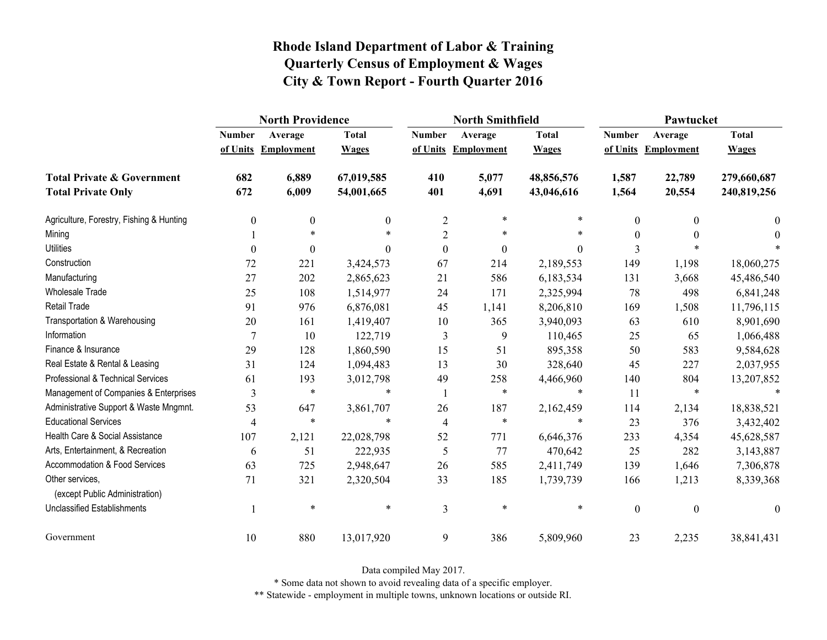|                                                   | <b>North Providence</b> |                     |              |                  | <b>North Smithfield</b> |                | Pawtucket        |                     |                  |
|---------------------------------------------------|-------------------------|---------------------|--------------|------------------|-------------------------|----------------|------------------|---------------------|------------------|
|                                                   | <b>Number</b>           | Average             | <b>Total</b> | <b>Number</b>    | Average                 | <b>Total</b>   | <b>Number</b>    | Average             | <b>Total</b>     |
|                                                   |                         | of Units Employment | <b>Wages</b> |                  | of Units Employment     | <b>Wages</b>   |                  | of Units Employment | <b>Wages</b>     |
| <b>Total Private &amp; Government</b>             | 682                     | 6,889               | 67,019,585   | 410              | 5,077                   | 48,856,576     | 1,587            | 22,789              | 279,660,687      |
| <b>Total Private Only</b>                         | 672                     | 6,009               | 54,001,665   | 401              | 4,691                   | 43,046,616     | 1,564            | 20,554              | 240,819,256      |
| Agriculture, Forestry, Fishing & Hunting          | $\boldsymbol{0}$        | $\boldsymbol{0}$    | $\mathbf{0}$ | $\overline{2}$   | $\ast$                  | *              | $\boldsymbol{0}$ | $\Omega$            | 0                |
| Mining                                            |                         | $\ast$              |              | $\overline{2}$   | *                       | $\ast$         | $\theta$         | 0                   | 0                |
| <b>Utilities</b>                                  | $\boldsymbol{0}$        | $\boldsymbol{0}$    | $\theta$     | $\boldsymbol{0}$ | $\boldsymbol{0}$        | $\overline{0}$ | 3                |                     |                  |
| Construction                                      | 72                      | 221                 | 3,424,573    | 67               | 214                     | 2,189,553      | 149              | 1,198               | 18,060,275       |
| Manufacturing                                     | 27                      | 202                 | 2,865,623    | 21               | 586                     | 6,183,534      | 131              | 3,668               | 45,486,540       |
| Wholesale Trade                                   | 25                      | 108                 | 1,514,977    | 24               | 171                     | 2,325,994      | 78               | 498                 | 6,841,248        |
| <b>Retail Trade</b>                               | 91                      | 976                 | 6,876,081    | 45               | 1,141                   | 8,206,810      | 169              | 1,508               | 11,796,115       |
| Transportation & Warehousing                      | 20                      | 161                 | 1,419,407    | 10               | 365                     | 3,940,093      | 63               | 610                 | 8,901,690        |
| Information                                       | 7                       | 10                  | 122,719      | 3                | 9                       | 110,465        | 25               | 65                  | 1,066,488        |
| Finance & Insurance                               | 29                      | 128                 | 1,860,590    | 15               | 51                      | 895,358        | 50               | 583                 | 9,584,628        |
| Real Estate & Rental & Leasing                    | 31                      | 124                 | 1,094,483    | 13               | 30                      | 328,640        | 45               | 227                 | 2,037,955        |
| Professional & Technical Services                 | 61                      | 193                 | 3,012,798    | 49               | 258                     | 4,466,960      | 140              | 804                 | 13,207,852       |
| Management of Companies & Enterprises             | 3                       | $\ast$              | $\ast$       |                  | $\ast$                  | $\ast$         | 11               | $\ast$              | $\ast$           |
| Administrative Support & Waste Mngmnt.            | 53                      | 647                 | 3,861,707    | 26               | 187                     | 2,162,459      | 114              | 2,134               | 18,838,521       |
| <b>Educational Services</b>                       | $\overline{4}$          | $\ast$              | $\ast$       | $\overline{4}$   | $\ast$                  | $\ast$         | 23               | 376                 | 3,432,402        |
| Health Care & Social Assistance                   | 107                     | 2,121               | 22,028,798   | 52               | 771                     | 6,646,376      | 233              | 4,354               | 45,628,587       |
| Arts, Entertainment, & Recreation                 | 6                       | 51                  | 222,935      | 5                | 77                      | 470,642        | 25               | 282                 | 3,143,887        |
| <b>Accommodation &amp; Food Services</b>          | 63                      | 725                 | 2,948,647    | 26               | 585                     | 2,411,749      | 139              | 1,646               | 7,306,878        |
| Other services,<br>(except Public Administration) | 71                      | 321                 | 2,320,504    | 33               | 185                     | 1,739,739      | 166              | 1,213               | 8,339,368        |
| <b>Unclassified Establishments</b>                |                         | $\ast$              | $\ast$       | 3                | $\ast$                  | $\ast$         | $\mathbf{0}$     | $\boldsymbol{0}$    | $\boldsymbol{0}$ |
| Government                                        | 10                      | 880                 | 13,017,920   | 9                | 386                     | 5,809,960      | 23               | 2,235               | 38,841,431       |

Data compiled May 2017.

\* Some data not shown to avoid revealing data of a specific employer.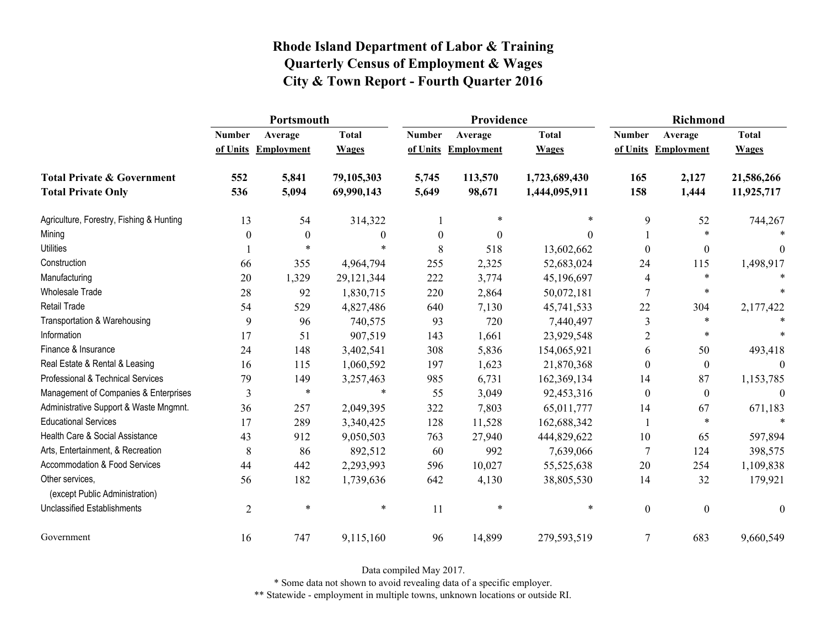|                                                   | Portsmouth     |                     |                  |                  | Providence          |               | <b>Richmond</b>  |                     |                  |
|---------------------------------------------------|----------------|---------------------|------------------|------------------|---------------------|---------------|------------------|---------------------|------------------|
|                                                   | <b>Number</b>  | Average             | <b>Total</b>     | <b>Number</b>    | Average             | <b>Total</b>  | <b>Number</b>    | Average             | <b>Total</b>     |
|                                                   |                | of Units Employment | <b>Wages</b>     |                  | of Units Employment | <b>Wages</b>  |                  | of Units Employment | <b>Wages</b>     |
| <b>Total Private &amp; Government</b>             | 552            | 5,841               | 79,105,303       | 5,745            | 113,570             | 1,723,689,430 | 165              | 2,127               | 21,586,266       |
| <b>Total Private Only</b>                         | 536            | 5,094               | 69,990,143       | 5,649            | 98,671              | 1,444,095,911 | 158              | 1,444               | 11,925,717       |
| Agriculture, Forestry, Fishing & Hunting          | 13             | 54                  | 314,322          |                  | $\ast$              | $\ast$        | 9                | 52                  | 744,267          |
| Mining                                            | $\theta$       | $\boldsymbol{0}$    | $\boldsymbol{0}$ | $\boldsymbol{0}$ | $\boldsymbol{0}$    | $\theta$      |                  | $\ast$              |                  |
| <b>Utilities</b>                                  |                | $\ast$              |                  | 8                | 518                 | 13,602,662    | $\theta$         | $\boldsymbol{0}$    | 0                |
| Construction                                      | 66             | 355                 | 4,964,794        | 255              | 2,325               | 52,683,024    | 24               | 115                 | 1,498,917        |
| Manufacturing                                     | 20             | 1,329               | 29,121,344       | 222              | 3,774               | 45,196,697    | $\overline{4}$   | $\ast$              |                  |
| <b>Wholesale Trade</b>                            | 28             | 92                  | 1,830,715        | 220              | 2,864               | 50,072,181    | 7                | $\ast$              |                  |
| <b>Retail Trade</b>                               | 54             | 529                 | 4,827,486        | 640              | 7,130               | 45,741,533    | 22               | 304                 | 2,177,422        |
| Transportation & Warehousing                      | 9              | 96                  | 740,575          | 93               | 720                 | 7,440,497     | $\mathfrak{Z}$   | $\ast$              |                  |
| Information                                       | 17             | 51                  | 907,519          | 143              | 1,661               | 23,929,548    | 2                | $\ast$              |                  |
| Finance & Insurance                               | 24             | 148                 | 3,402,541        | 308              | 5,836               | 154,065,921   | 6                | 50                  | 493,418          |
| Real Estate & Rental & Leasing                    | 16             | 115                 | 1,060,592        | 197              | 1,623               | 21,870,368    | $\Omega$         | $\boldsymbol{0}$    |                  |
| Professional & Technical Services                 | 79             | 149                 | 3,257,463        | 985              | 6,731               | 162,369,134   | 14               | 87                  | 1,153,785        |
| Management of Companies & Enterprises             | 3              | *                   | $\ast$           | 55               | 3,049               | 92,453,316    | $\theta$         | $\boldsymbol{0}$    | $\theta$         |
| Administrative Support & Waste Mngmnt.            | 36             | 257                 | 2,049,395        | 322              | 7,803               | 65,011,777    | 14               | 67                  | 671,183          |
| <b>Educational Services</b>                       | 17             | 289                 | 3,340,425        | 128              | 11,528              | 162,688,342   |                  | $\ast$              | $\ast$           |
| Health Care & Social Assistance                   | 43             | 912                 | 9,050,503        | 763              | 27,940              | 444,829,622   | 10               | 65                  | 597,894          |
| Arts, Entertainment, & Recreation                 | 8              | 86                  | 892,512          | 60               | 992                 | 7,639,066     | $\overline{7}$   | 124                 | 398,575          |
| Accommodation & Food Services                     | 44             | 442                 | 2,293,993        | 596              | 10,027              | 55,525,638    | 20               | 254                 | 1,109,838        |
| Other services,<br>(except Public Administration) | 56             | 182                 | 1,739,636        | 642              | 4,130               | 38,805,530    | 14               | 32                  | 179,921          |
| <b>Unclassified Establishments</b>                | $\overline{2}$ | $\ast$              | $\ast$           | 11               | $\ast$              | $\ast$        | $\boldsymbol{0}$ | $\boldsymbol{0}$    | $\boldsymbol{0}$ |
| Government                                        | 16             | 747                 | 9,115,160        | 96               | 14,899              | 279,593,519   | 7                | 683                 | 9,660,549        |

Data compiled May 2017.

\* Some data not shown to avoid revealing data of a specific employer.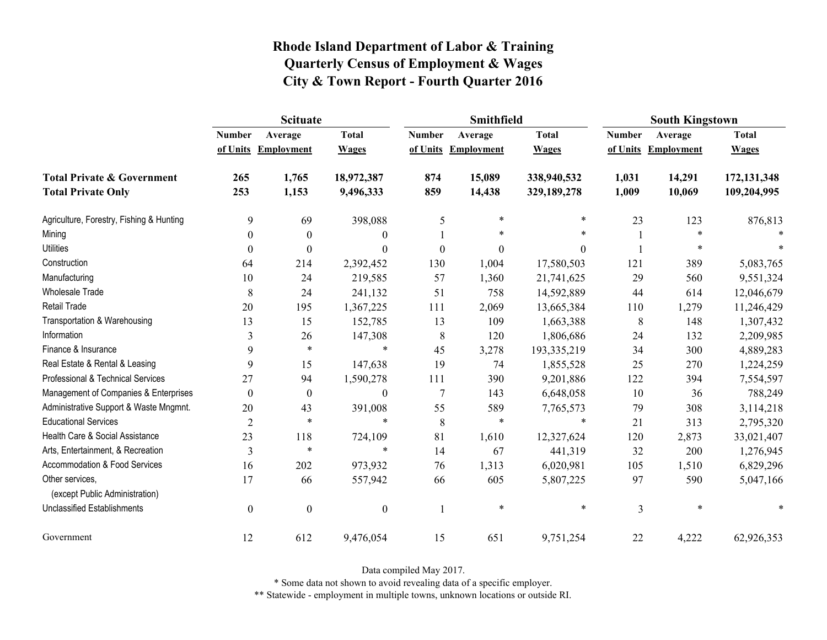|                                                   | <b>Scituate</b>  |                     |                  |                  | <b>Smithfield</b> |              | <b>South Kingstown</b> |                     |               |
|---------------------------------------------------|------------------|---------------------|------------------|------------------|-------------------|--------------|------------------------|---------------------|---------------|
|                                                   | <b>Number</b>    | Average             | <b>Total</b>     | <b>Number</b>    | Average           | <b>Total</b> | <b>Number</b>          | Average             | <b>Total</b>  |
|                                                   |                  | of Units Employment | <b>Wages</b>     | of Units         | <b>Employment</b> | <b>Wages</b> |                        | of Units Employment | <b>Wages</b>  |
| <b>Total Private &amp; Government</b>             | 265              | 1,765               | 18,972,387       | 874              | 15,089            | 338,940,532  | 1,031                  | 14,291              | 172, 131, 348 |
| <b>Total Private Only</b>                         | 253              | 1,153               | 9,496,333        | 859              | 14,438            | 329,189,278  | 1,009                  | 10,069              | 109,204,995   |
| Agriculture, Forestry, Fishing & Hunting          | 9                | 69                  | 398,088          | 5                | *                 | $\ast$       | 23                     | 123                 | 876,813       |
| Mining                                            | 0                | $\boldsymbol{0}$    | $\boldsymbol{0}$ |                  | $\ast$            | $\ast$       |                        |                     |               |
| <b>Utilities</b>                                  | $\theta$         | $\theta$            | $\boldsymbol{0}$ | $\boldsymbol{0}$ | $\theta$          | $\mathbf{0}$ |                        | *                   |               |
| Construction                                      | 64               | 214                 | 2,392,452        | 130              | 1,004             | 17,580,503   | 121                    | 389                 | 5,083,765     |
| Manufacturing                                     | 10               | 24                  | 219,585          | 57               | 1,360             | 21,741,625   | 29                     | 560                 | 9,551,324     |
| <b>Wholesale Trade</b>                            | 8                | 24                  | 241,132          | 51               | 758               | 14,592,889   | 44                     | 614                 | 12,046,679    |
| Retail Trade                                      | 20               | 195                 | 1,367,225        | 111              | 2,069             | 13,665,384   | 110                    | 1,279               | 11,246,429    |
| Transportation & Warehousing                      | 13               | 15                  | 152,785          | 13               | 109               | 1,663,388    | $\,$ $\,$              | 148                 | 1,307,432     |
| Information                                       | $\overline{3}$   | 26                  | 147,308          | $\,8\,$          | 120               | 1,806,686    | 24                     | 132                 | 2,209,985     |
| Finance & Insurance                               | 9                | $\ast$              | *                | 45               | 3,278             | 193,335,219  | 34                     | 300                 | 4,889,283     |
| Real Estate & Rental & Leasing                    | 9                | 15                  | 147,638          | 19               | 74                | 1,855,528    | 25                     | 270                 | 1,224,259     |
| Professional & Technical Services                 | 27               | 94                  | 1,590,278        | 111              | 390               | 9,201,886    | 122                    | 394                 | 7,554,597     |
| Management of Companies & Enterprises             | $\theta$         | $\mathbf{0}$        | $\boldsymbol{0}$ | $\overline{7}$   | 143               | 6,648,058    | 10                     | 36                  | 788,249       |
| Administrative Support & Waste Mngmnt.            | 20               | 43                  | 391,008          | 55               | 589               | 7,765,573    | 79                     | 308                 | 3,114,218     |
| <b>Educational Services</b>                       | $\overline{2}$   | $\ast$              | $\ast$           | 8                | $\ast$            | $\ast$       | 21                     | 313                 | 2,795,320     |
| Health Care & Social Assistance                   | 23               | 118                 | 724,109          | 81               | 1,610             | 12,327,624   | 120                    | 2,873               | 33,021,407    |
| Arts, Entertainment, & Recreation                 | $\mathfrak{Z}$   | $\ast$              | $\ast$           | 14               | 67                | 441,319      | 32                     | 200                 | 1,276,945     |
| <b>Accommodation &amp; Food Services</b>          | 16               | 202                 | 973,932          | 76               | 1,313             | 6,020,981    | 105                    | 1,510               | 6,829,296     |
| Other services,<br>(except Public Administration) | 17               | 66                  | 557,942          | 66               | 605               | 5,807,225    | 97                     | 590                 | 5,047,166     |
| <b>Unclassified Establishments</b>                | $\boldsymbol{0}$ | $\boldsymbol{0}$    | $\boldsymbol{0}$ |                  | $\ast$            | $\ast$       | 3                      | $\ast$              |               |
| Government                                        | 12               | 612                 | 9,476,054        | 15               | 651               | 9,751,254    | 22                     | 4,222               | 62,926,353    |

Data compiled May 2017.

\* Some data not shown to avoid revealing data of a specific employer.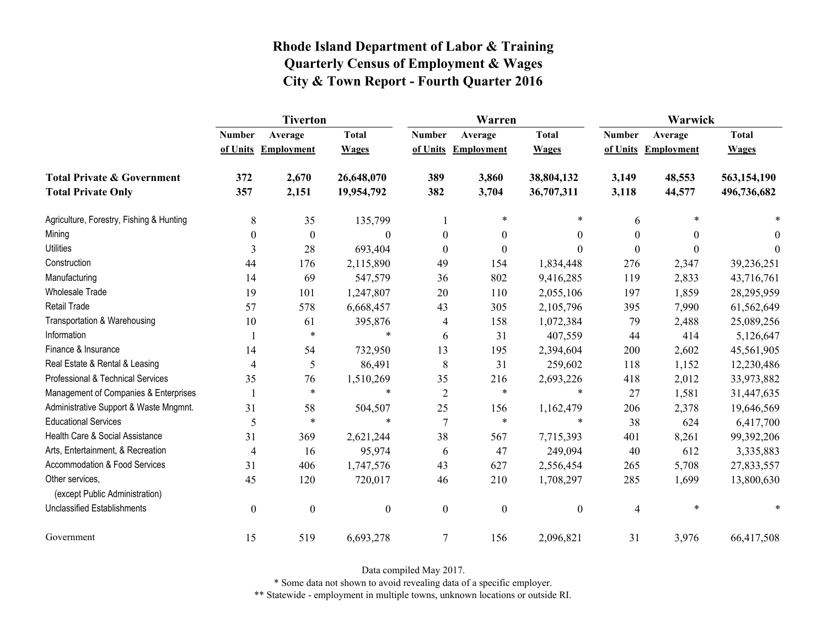|                                                   | <b>Tiverton</b>  |                   |                  |                  | Warren              |                  | Warwick       |                   |              |
|---------------------------------------------------|------------------|-------------------|------------------|------------------|---------------------|------------------|---------------|-------------------|--------------|
|                                                   | <b>Number</b>    | Average           | <b>Total</b>     | <b>Number</b>    | Average             | <b>Total</b>     | <b>Number</b> | Average           | <b>Total</b> |
|                                                   | of Units         | <b>Employment</b> | <b>Wages</b>     |                  | of Units Employment | <b>Wages</b>     | of Units      | <b>Employment</b> | <b>Wages</b> |
| <b>Total Private &amp; Government</b>             | 372              | 2,670             | 26,648,070       | 389              | 3,860               | 38,804,132       | 3,149         | 48,553            | 563,154,190  |
| <b>Total Private Only</b>                         | 357              | 2,151             | 19,954,792       | 382              | 3,704               | 36,707,311       | 3,118         | 44,577            | 496,736,682  |
| Agriculture, Forestry, Fishing & Hunting          | 8                | 35                | 135,799          |                  | $\ast$              | *                | 6             |                   |              |
| Mining                                            | $\boldsymbol{0}$ | $\boldsymbol{0}$  | $\Omega$         | $\boldsymbol{0}$ | $\boldsymbol{0}$    | $\boldsymbol{0}$ | 0             | $\theta$          | $\theta$     |
| <b>Utilities</b>                                  | 3                | 28                | 693,404          | $\mathbf{0}$     | $\boldsymbol{0}$    | $\theta$         | $\Omega$      | $\theta$          | $\theta$     |
| Construction                                      | 44               | 176               | 2,115,890        | 49               | 154                 | 1,834,448        | 276           | 2,347             | 39,236,251   |
| Manufacturing                                     | 14               | 69                | 547,579          | 36               | 802                 | 9,416,285        | 119           | 2,833             | 43,716,761   |
| <b>Wholesale Trade</b>                            | 19               | 101               | 1,247,807        | 20               | 110                 | 2,055,106        | 197           | 1,859             | 28,295,959   |
| <b>Retail Trade</b>                               | 57               | 578               | 6,668,457        | 43               | 305                 | 2,105,796        | 395           | 7,990             | 61,562,649   |
| Transportation & Warehousing                      | 10               | 61                | 395,876          | 4                | 158                 | 1,072,384        | 79            | 2,488             | 25,089,256   |
| Information                                       |                  | $\ast$            | $\ast$           | 6                | 31                  | 407,559          | 44            | 414               | 5,126,647    |
| Finance & Insurance                               | 14               | 54                | 732,950          | 13               | 195                 | 2,394,604        | 200           | 2,602             | 45,561,905   |
| Real Estate & Rental & Leasing                    | $\overline{4}$   | 5                 | 86,491           | 8                | 31                  | 259,602          | 118           | 1,152             | 12,230,486   |
| Professional & Technical Services                 | 35               | 76                | 1,510,269        | 35               | 216                 | 2,693,226        | 418           | 2,012             | 33,973,882   |
| Management of Companies & Enterprises             |                  | $\ast$            | $\ast$           | $\overline{2}$   | $\ast$              | $\ast$           | 27            | 1,581             | 31,447,635   |
| Administrative Support & Waste Mngmnt.            | 31               | 58                | 504,507          | 25               | 156                 | 1,162,479        | 206           | 2,378             | 19,646,569   |
| <b>Educational Services</b>                       | 5                | $\ast$            | $\ast$           | $\overline{7}$   | $\ast$              | *                | 38            | 624               | 6,417,700    |
| Health Care & Social Assistance                   | 31               | 369               | 2,621,244        | 38               | 567                 | 7,715,393        | 401           | 8,261             | 99,392,206   |
| Arts, Entertainment, & Recreation                 | $\overline{4}$   | 16                | 95,974           | 6                | 47                  | 249,094          | 40            | 612               | 3,335,883    |
| Accommodation & Food Services                     | 31               | 406               | 1,747,576        | 43               | 627                 | 2,556,454        | 265           | 5,708             | 27,833,557   |
| Other services,<br>(except Public Administration) | 45               | 120               | 720,017          | 46               | 210                 | 1,708,297        | 285           | 1,699             | 13,800,630   |
| <b>Unclassified Establishments</b>                | $\boldsymbol{0}$ | $\boldsymbol{0}$  | $\boldsymbol{0}$ | $\boldsymbol{0}$ | $\boldsymbol{0}$    | $\boldsymbol{0}$ | 4             | $\ast$            |              |
| Government                                        | 15               | 519               | 6,693,278        | $\tau$           | 156                 | 2,096,821        | 31            | 3,976             | 66,417,508   |

Data compiled May 2017.

\* Some data not shown to avoid revealing data of a specific employer.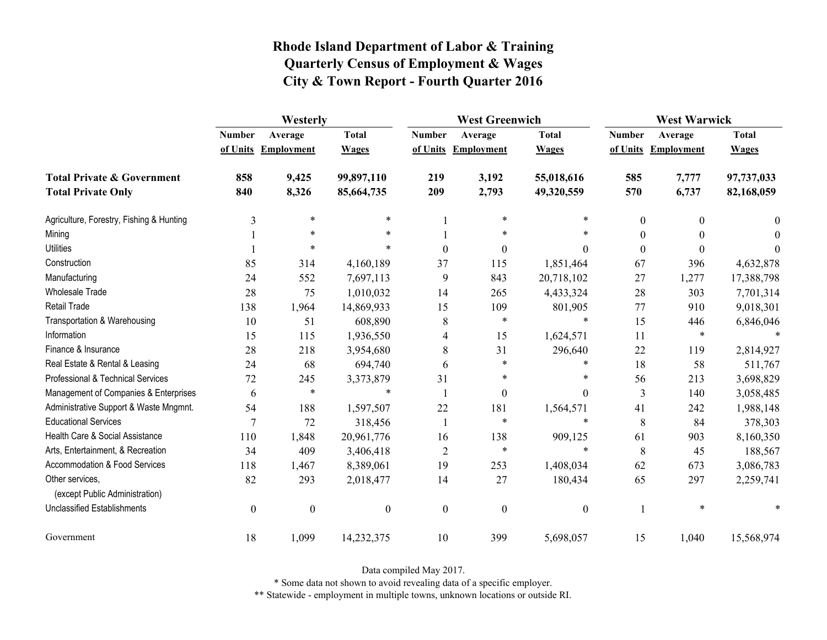|                                                   | Westerly         |                     |                  |                  | <b>West Greenwich</b> |                  |                  | <b>West Warwick</b> |              |  |
|---------------------------------------------------|------------------|---------------------|------------------|------------------|-----------------------|------------------|------------------|---------------------|--------------|--|
|                                                   | <b>Number</b>    | Average             | <b>Total</b>     | <b>Number</b>    | Average               | <b>Total</b>     | <b>Number</b>    | Average             | <b>Total</b> |  |
|                                                   |                  | of Units Employment | <b>Wages</b>     |                  | of Units Employment   | <b>Wages</b>     |                  | of Units Employment | <b>Wages</b> |  |
| <b>Total Private &amp; Government</b>             | 858              | 9,425               | 99,897,110       | 219              | 3,192                 | 55,018,616       | 585              | 7,777               | 97,737,033   |  |
| <b>Total Private Only</b>                         | 840              | 8,326               | 85,664,735       | 209              | 2,793                 | 49,320,559       | 570              | 6,737               | 82,168,059   |  |
| Agriculture, Forestry, Fishing & Hunting          | 3                | $\ast$              | $\ast$           |                  | $\ast$                | *                | $\boldsymbol{0}$ | $\theta$            | $\theta$     |  |
| Mining                                            |                  | $\ast$              | $\ast$           |                  | $\ast$                | *                | $\theta$         |                     | $\Omega$     |  |
| <b>Utilities</b>                                  |                  | $\ast$              |                  | $\theta$         | $\boldsymbol{0}$      | $\theta$         | $\boldsymbol{0}$ | $\theta$            | $\Omega$     |  |
| Construction                                      | 85               | 314                 | 4,160,189        | 37               | 115                   | 1,851,464        | 67               | 396                 | 4,632,878    |  |
| Manufacturing                                     | 24               | 552                 | 7,697,113        | 9                | 843                   | 20,718,102       | 27               | 1,277               | 17,388,798   |  |
| <b>Wholesale Trade</b>                            | 28               | 75                  | 1,010,032        | 14               | 265                   | 4,433,324        | 28               | 303                 | 7,701,314    |  |
| <b>Retail Trade</b>                               | 138              | 1,964               | 14,869,933       | 15               | 109                   | 801,905          | 77               | 910                 | 9,018,301    |  |
| Transportation & Warehousing                      | 10               | 51                  | 608,890          | 8                | $\ast$                | $\ast$           | 15               | 446                 | 6,846,046    |  |
| Information                                       | 15               | 115                 | 1,936,550        | 4                | 15                    | 1,624,571        | 11               | $\ast$              |              |  |
| Finance & Insurance                               | 28               | 218                 | 3,954,680        | 8                | 31                    | 296,640          | 22               | 119                 | 2,814,927    |  |
| Real Estate & Rental & Leasing                    | 24               | 68                  | 694,740          | 6                | $\ast$                | *                | 18               | 58                  | 511,767      |  |
| Professional & Technical Services                 | 72               | 245                 | 3,373,879        | 31               | $\ast$                | $\ast$           | 56               | 213                 | 3,698,829    |  |
| Management of Companies & Enterprises             | 6                | $\ast$              | $\ast$           |                  | $\boldsymbol{0}$      | $\theta$         | 3                | 140                 | 3,058,485    |  |
| Administrative Support & Waste Mngmnt.            | 54               | 188                 | 1,597,507        | 22               | 181                   | 1,564,571        | 41               | 242                 | 1,988,148    |  |
| <b>Educational Services</b>                       | 7                | 72                  | 318,456          |                  | $\ast$                | $\ast$           | 8                | 84                  | 378,303      |  |
| Health Care & Social Assistance                   | 110              | 1,848               | 20,961,776       | 16               | 138                   | 909,125          | 61               | 903                 | 8,160,350    |  |
| Arts, Entertainment, & Recreation                 | 34               | 409                 | 3,406,418        | $\overline{2}$   | $\ast$                | $\ast$           | $8\,$            | 45                  | 188,567      |  |
| Accommodation & Food Services                     | 118              | 1,467               | 8,389,061        | 19               | 253                   | 1,408,034        | 62               | 673                 | 3,086,783    |  |
| Other services,<br>(except Public Administration) | 82               | 293                 | 2,018,477        | 14               | 27                    | 180,434          | 65               | 297                 | 2,259,741    |  |
| <b>Unclassified Establishments</b>                | $\boldsymbol{0}$ | $\boldsymbol{0}$    | $\boldsymbol{0}$ | $\boldsymbol{0}$ | $\boldsymbol{0}$      | $\boldsymbol{0}$ |                  | $\ast$              |              |  |
| Government                                        | 18               | 1,099               | 14,232,375       | 10               | 399                   | 5,698,057        | 15               | 1,040               | 15,568,974   |  |

Data compiled May 2017.

\* Some data not shown to avoid revealing data of a specific employer.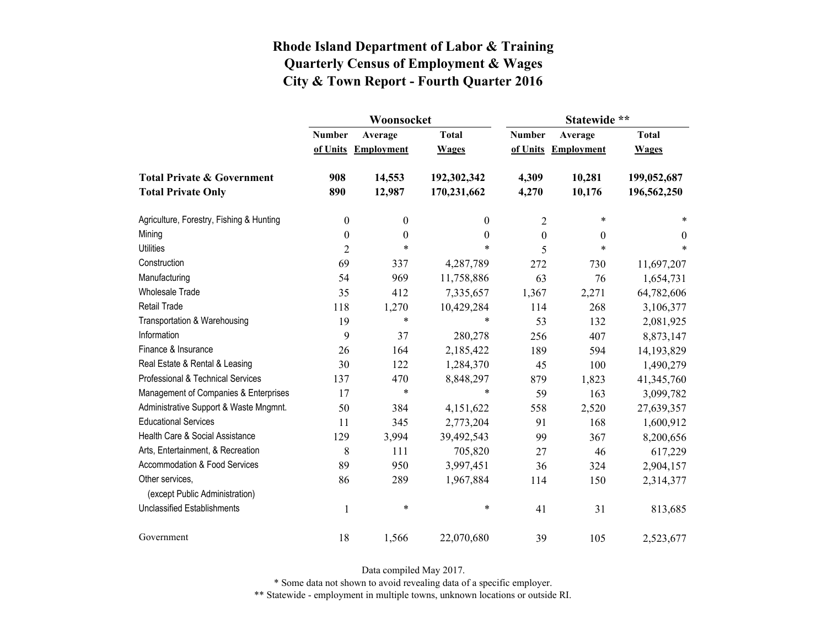|                                                   |                  | Woonsocket        |                  | Statewide **  |                   |              |  |
|---------------------------------------------------|------------------|-------------------|------------------|---------------|-------------------|--------------|--|
|                                                   | <b>Number</b>    | Average           | <b>Total</b>     | <b>Number</b> | Average           | <b>Total</b> |  |
|                                                   | of Units         | <b>Employment</b> | <b>Wages</b>     | of Units      | <b>Employment</b> | <b>Wages</b> |  |
| <b>Total Private &amp; Government</b>             | 908              | 14,553            | 192,302,342      | 4,309         | 10,281            | 199,052,687  |  |
| <b>Total Private Only</b>                         | 890              | 12,987            | 170,231,662      | 4,270         | 10,176            | 196,562,250  |  |
| Agriculture, Forestry, Fishing & Hunting          | $\boldsymbol{0}$ | $\boldsymbol{0}$  | 0                | 2             | $\ast$            | *            |  |
| Mining                                            | $\boldsymbol{0}$ | $\boldsymbol{0}$  | $\boldsymbol{0}$ | $\theta$      | $\theta$          | $\theta$     |  |
| <b>Utilities</b>                                  | $\overline{2}$   | $\ast$            | $\ast$           | 5             | $\ast$            | $\ast$       |  |
| Construction                                      | 69               | 337               | 4,287,789        | 272           | 730               | 11,697,207   |  |
| Manufacturing                                     | 54               | 969               | 11,758,886       | 63            | 76                | 1,654,731    |  |
| <b>Wholesale Trade</b>                            | 35               | 412               | 7,335,657        | 1,367         | 2,271             | 64,782,606   |  |
| <b>Retail Trade</b>                               | 118              | 1,270             | 10,429,284       | 114           | 268               | 3,106,377    |  |
| Transportation & Warehousing                      | 19               | $\ast$            | *                | 53            | 132               | 2,081,925    |  |
| Information                                       | 9                | 37                | 280,278          | 256           | 407               | 8,873,147    |  |
| Finance & Insurance                               | 26               | 164               | 2,185,422        | 189           | 594               | 14,193,829   |  |
| Real Estate & Rental & Leasing                    | 30               | 122               | 1,284,370        | 45            | 100               | 1,490,279    |  |
| Professional & Technical Services                 | 137              | 470               | 8,848,297        | 879           | 1,823             | 41,345,760   |  |
| Management of Companies & Enterprises             | 17               | $\ast$            | $\ast$           | 59            | 163               | 3,099,782    |  |
| Administrative Support & Waste Mngmnt.            | 50               | 384               | 4,151,622        | 558           | 2,520             | 27,639,357   |  |
| <b>Educational Services</b>                       | 11               | 345               | 2,773,204        | 91            | 168               | 1,600,912    |  |
| Health Care & Social Assistance                   | 129              | 3,994             | 39,492,543       | 99            | 367               | 8,200,656    |  |
| Arts, Entertainment, & Recreation                 | 8                | 111               | 705,820          | 27            | 46                | 617,229      |  |
| Accommodation & Food Services                     | 89               | 950               | 3,997,451        | 36            | 324               | 2,904,157    |  |
| Other services,<br>(except Public Administration) | 86               | 289               | 1,967,884        | 114           | 150               | 2,314,377    |  |
| <b>Unclassified Establishments</b>                | $\mathbf 1$      | $\ast$            | $\ast$           | 41            | 31                | 813,685      |  |
| Government                                        | 18               | 1,566             | 22,070,680       | 39            | 105               | 2,523,677    |  |

Data compiled May 2017.

\* Some data not shown to avoid revealing data of a specific employer.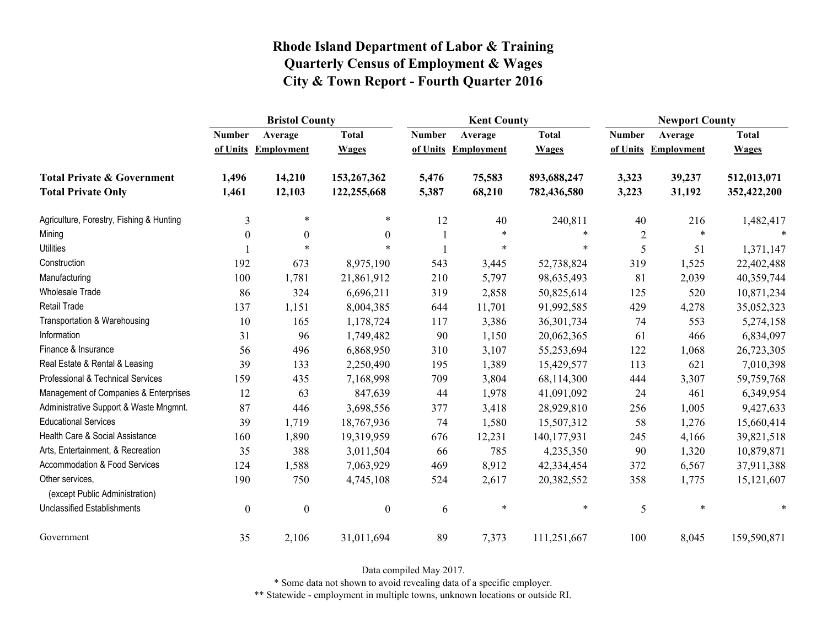|                                                   | <b>Bristol County</b> |                   |                  |               | <b>Kent County</b> |              |                | <b>Newport County</b> |              |  |
|---------------------------------------------------|-----------------------|-------------------|------------------|---------------|--------------------|--------------|----------------|-----------------------|--------------|--|
|                                                   | <b>Number</b>         | Average           | <b>Total</b>     | <b>Number</b> | Average            | <b>Total</b> | <b>Number</b>  | Average               | <b>Total</b> |  |
|                                                   | of Units              | <b>Employment</b> | <b>Wages</b>     | of Units      | Employment         | <b>Wages</b> | of Units       | <b>Employment</b>     | <b>Wages</b> |  |
| <b>Total Private &amp; Government</b>             | 1,496                 | 14,210            | 153,267,362      | 5,476         | 75,583             | 893,688,247  | 3,323          | 39,237                | 512,013,071  |  |
| <b>Total Private Only</b>                         | 1,461                 | 12,103            | 122,255,668      | 5,387         | 68,210             | 782,436,580  | 3,223          | 31,192                | 352,422,200  |  |
| Agriculture, Forestry, Fishing & Hunting          | 3                     | $\ast$            | $\ast$           | 12            | 40                 | 240,811      | 40             | 216                   | 1,482,417    |  |
| Mining                                            | $\theta$              | $\theta$          | $\boldsymbol{0}$ |               | $\ast$             | $\ast$       | $\overline{2}$ | $\ast$                |              |  |
| <b>Utilities</b>                                  |                       | $\ast$            | $\ast$           |               | $\ast$             | $\ast$       | 5              | 51                    | 1,371,147    |  |
| Construction                                      | 192                   | 673               | 8,975,190        | 543           | 3,445              | 52,738,824   | 319            | 1,525                 | 22,402,488   |  |
| Manufacturing                                     | 100                   | 1,781             | 21,861,912       | 210           | 5,797              | 98,635,493   | 81             | 2,039                 | 40,359,744   |  |
| Wholesale Trade                                   | 86                    | 324               | 6,696,211        | 319           | 2,858              | 50,825,614   | 125            | 520                   | 10,871,234   |  |
| <b>Retail Trade</b>                               | 137                   | 1,151             | 8,004,385        | 644           | 11,701             | 91,992,585   | 429            | 4,278                 | 35,052,323   |  |
| Transportation & Warehousing                      | 10                    | 165               | 1,178,724        | 117           | 3,386              | 36, 301, 734 | 74             | 553                   | 5,274,158    |  |
| Information                                       | 31                    | 96                | 1,749,482        | 90            | 1,150              | 20,062,365   | 61             | 466                   | 6,834,097    |  |
| Finance & Insurance                               | 56                    | 496               | 6,868,950        | 310           | 3,107              | 55,253,694   | 122            | 1,068                 | 26,723,305   |  |
| Real Estate & Rental & Leasing                    | 39                    | 133               | 2,250,490        | 195           | 1,389              | 15,429,577   | 113            | 621                   | 7,010,398    |  |
| Professional & Technical Services                 | 159                   | 435               | 7,168,998        | 709           | 3,804              | 68,114,300   | 444            | 3,307                 | 59,759,768   |  |
| Management of Companies & Enterprises             | 12                    | 63                | 847,639          | 44            | 1,978              | 41,091,092   | 24             | 461                   | 6,349,954    |  |
| Administrative Support & Waste Mngmnt.            | 87                    | 446               | 3,698,556        | 377           | 3,418              | 28,929,810   | 256            | 1,005                 | 9,427,633    |  |
| <b>Educational Services</b>                       | 39                    | 1,719             | 18,767,936       | 74            | 1,580              | 15,507,312   | 58             | 1,276                 | 15,660,414   |  |
| Health Care & Social Assistance                   | 160                   | 1,890             | 19,319,959       | 676           | 12,231             | 140,177,931  | 245            | 4,166                 | 39,821,518   |  |
| Arts, Entertainment, & Recreation                 | 35                    | 388               | 3,011,504        | 66            | 785                | 4,235,350    | 90             | 1,320                 | 10,879,871   |  |
| Accommodation & Food Services                     | 124                   | 1,588             | 7,063,929        | 469           | 8,912              | 42,334,454   | 372            | 6,567                 | 37,911,388   |  |
| Other services,<br>(except Public Administration) | 190                   | 750               | 4,745,108        | 524           | 2,617              | 20,382,552   | 358            | 1,775                 | 15, 121, 607 |  |
| <b>Unclassified Establishments</b>                | $\boldsymbol{0}$      | $\boldsymbol{0}$  | $\boldsymbol{0}$ | 6             | $\ast$             | $\ast$       | 5              | $\ast$                | *            |  |
| Government                                        | 35                    | 2,106             | 31,011,694       | 89            | 7,373              | 111,251,667  | 100            | 8,045                 | 159,590,871  |  |

Data compiled May 2017.

\* Some data not shown to avoid revealing data of a specific employer.